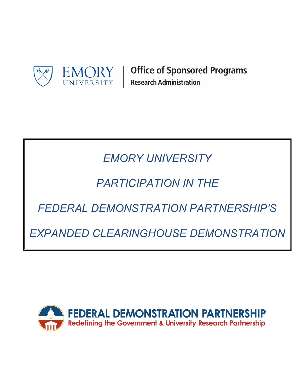

**Office of Sponsored Programs Research Administration** 

# *EMORY UNIVERSITY*

## *PARTICIPATION IN THE*

*FEDERAL DEMONSTRATION PARTNERSHIP'S*

*EXPANDED CLEARINGHOUSE DEMONSTRATION*

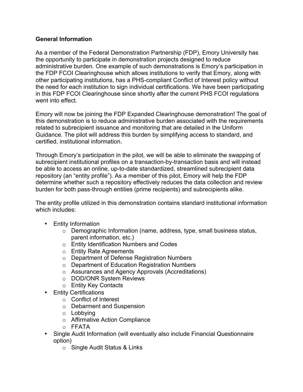#### **General Information**

As a member of the Federal Demonstration Partnership (FDP), Emory University has the opportunity to participate in demonstration projects designed to reduce administrative burden. One example of such demonstrations is Emory's participation in the FDP FCOI Clearinghouse which allows institutions to verify that Emory, along with other participating institutions, has a PHS-compliant Conflict of Interest policy without the need for each institution to sign individual certifications. We have been participating in this FDP FCOI Clearinghouse since shortly after the current PHS FCOI regulations went into effect.

Emory will now be joining the FDP Expanded Clearinghouse demonstration! The goal of this demonstration is to reduce administrative burden associated with the requirements related to subrecipient issuance and monitoring that are detailed in the Uniform Guidance. The pilot will address this burden by simplifying access to standard, and certified, institutional information.

Through Emory's participation in the pilot, we will be able to eliminate the swapping of subrecipient institutional profiles on a transaction-by-transaction basis and will instead be able to access an online, up-to-date standardized, streamlined subrecipient data repository (an "entity profile"). As a member of this pilot, Emory will help the FDP determine whether such a repository effectively reduces the data collection and review burden for both pass-through entities (prime recipients) and subrecipients alike.

The entity profile utilized in this demonstration contains standard institutional information which includes:

- Entity Information
	- $\circ$  Demographic Information (name, address, type, small business status, parent information, etc.)
	- o Entity Identification Numbers and Codes
	- o Entity Rate Agreements
	- o Department of Defense Registration Numbers
	- o Department of Education Registration Numbers
	- o Assurances and Agency Approvals (Accreditations)
	- o DOD/ONR System Reviews
	- o Entity Key Contacts
- Entity Certifications
	- o Conflict of Interest
	- o Debarment and Suspension
	- o Lobbying
	- o Affirmative Action Compliance
	- o FFATA
- Single Audit Information (will eventually also include Financial Questionnaire option)
	- o Single Audit Status & Links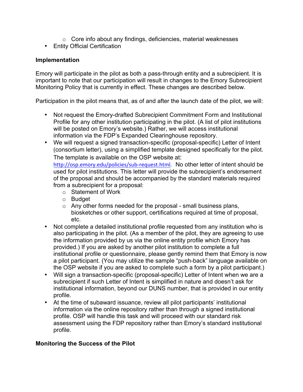- o Core info about any findings, deficiencies, material weaknesses
- Entity Official Certification

#### **Implementation**

Emory will participate in the pilot as both a pass-through entity and a subrecipient. It is important to note that our participation will result in changes to the Emory Subrecipient Monitoring Policy that is currently in effect. These changes are described below.

Participation in the pilot means that, as of and after the launch date of the pilot, we will:

- Not request the Emory-drafted Subrecipient Commitment Form and Institutional Profile for any other institution participating in the pilot. (A list of pilot institutions will be posted on Emory's website.) Rather, we will access institutional information via the FDP's Expanded Clearinghouse repository.
- We will request a signed transaction-specific (proposal-specific) Letter of Intent (consortium letter), using a simplified template designed specifically for the pilot. The template is available on the OSP website at: [http://osp.emory.edu/policies/sub-request.html.](http://osp.emory.edu/policies/sub-request.html) No other letter of intent should be

used for pilot institutions. This letter will provide the subrecipient's endorsement of the proposal and should be accompanied by the standard materials required from a subrecipient for a proposal:

- o Statement of Work
- o Budget
- $\circ$  Any other forms needed for the proposal small business plans, biosketches or other support, certifications required at time of proposal, etc.
- Not complete a detailed institutional profile requested from any institution who is also participating in the pilot. (As a member of the pilot, they are agreeing to use the information provided by us via the online entity profile which Emory has provided.) If you are asked by another pilot institution to complete a full institutional profile or questionnaire, please gently remind them that Emory is now a pilot participant. (You may utilize the sample "push-back" language available on the OSP website if you are asked to complete such a form by a pilot participant.)
- Will sign a transaction-specific (proposal-specific) Letter of Intent when we are a subrecipient if such Letter of Intent is simplified in nature and doesn't ask for institutional information, beyond our DUNS number, that is provided in our entity profile.
- At the time of subaward issuance, review all pilot participants' institutional information via the online repository rather than through a signed institutional profile. OSP will handle this task and will proceed with our standard risk assessment using the FDP repository rather than Emory's standard institutional profile.

#### **Monitoring the Success of the Pilot**